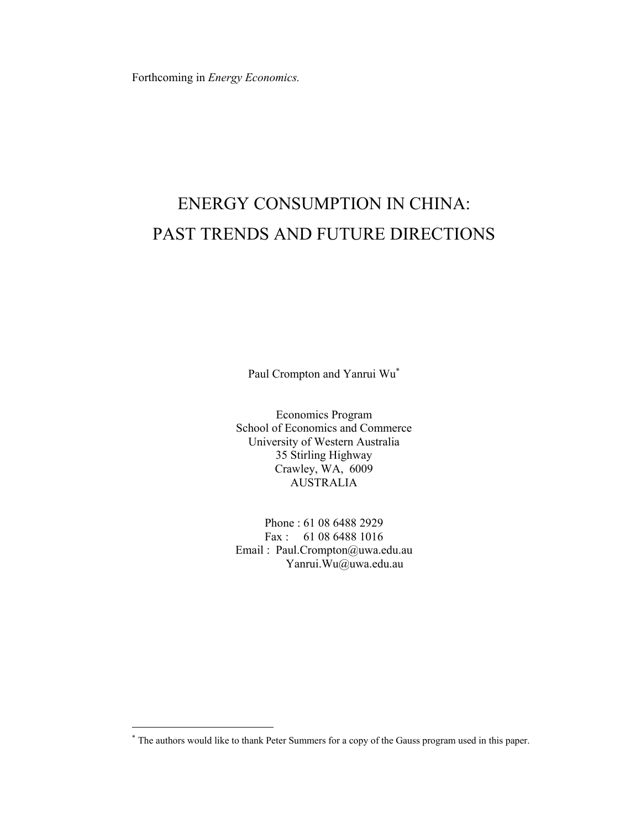Forthcoming in *Energy Economics.*

# ENERGY CONSUMPTION IN CHINA: PAST TRENDS AND FUTURE DIRECTIONS

Paul Crompton and Yanrui Wu<sup>∗</sup>

Economics Program School of Economics and Commerce University of Western Australia 35 Stirling Highway Crawley, WA, 6009 AUSTRALIA

Phone : 61 08 6488 2929 Fax : 61 08 6488 1016 Email : Paul.Crompton@uwa.edu.au Yanrui.Wu@uwa.edu.au

<sup>∗</sup> The authors would like to thank Peter Summers for a copy of the Gauss program used in this paper.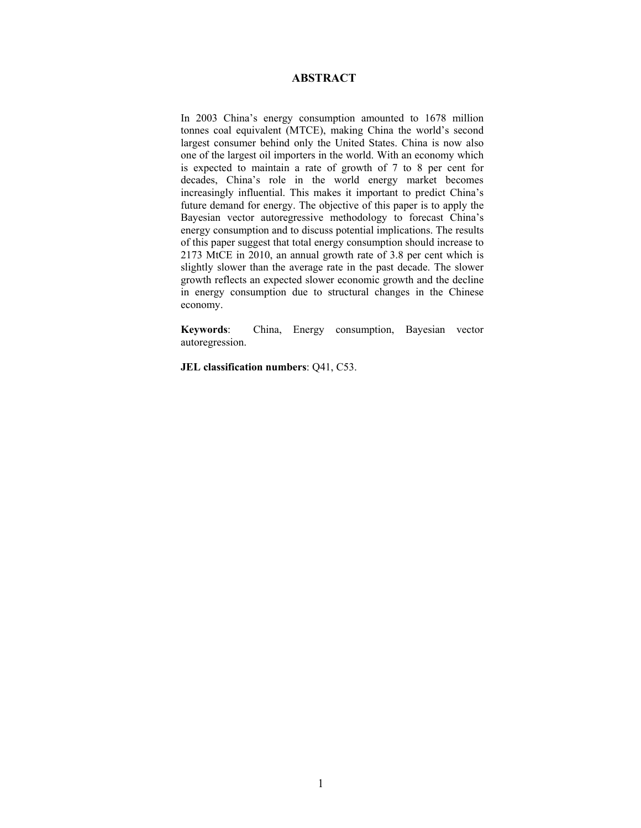## **ABSTRACT**

In 2003 China's energy consumption amounted to 1678 million tonnes coal equivalent (MTCE), making China the world's second largest consumer behind only the United States. China is now also one of the largest oil importers in the world. With an economy which is expected to maintain a rate of growth of 7 to 8 per cent for decades, China's role in the world energy market becomes increasingly influential. This makes it important to predict China's future demand for energy. The objective of this paper is to apply the Bayesian vector autoregressive methodology to forecast China's energy consumption and to discuss potential implications. The results of this paper suggest that total energy consumption should increase to 2173 MtCE in 2010, an annual growth rate of 3.8 per cent which is slightly slower than the average rate in the past decade. The slower growth reflects an expected slower economic growth and the decline in energy consumption due to structural changes in the Chinese economy.

**Keywords**: China, Energy consumption, Bayesian vector autoregression.

**JEL classification numbers**: Q41, C53.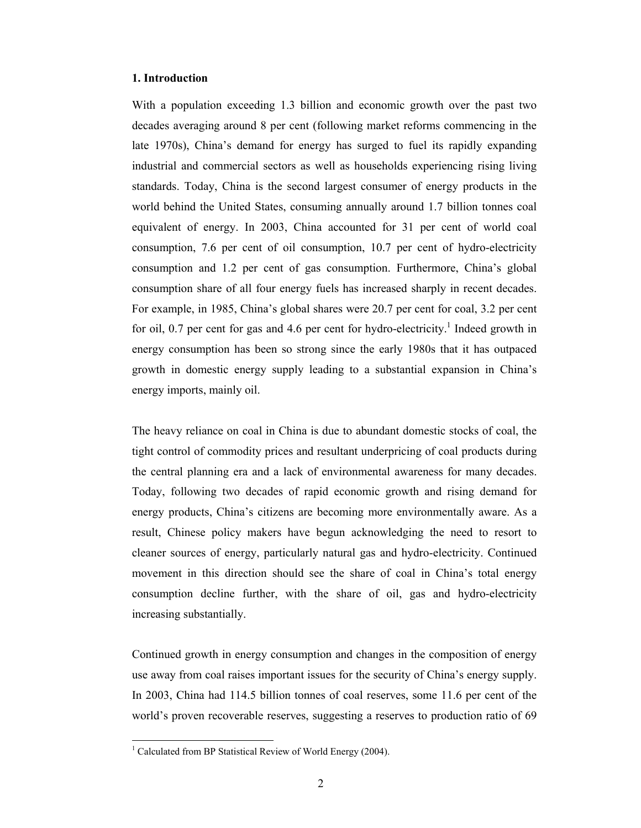### **1. Introduction**

With a population exceeding 1.3 billion and economic growth over the past two decades averaging around 8 per cent (following market reforms commencing in the late 1970s), China's demand for energy has surged to fuel its rapidly expanding industrial and commercial sectors as well as households experiencing rising living standards. Today, China is the second largest consumer of energy products in the world behind the United States, consuming annually around 1.7 billion tonnes coal equivalent of energy. In 2003, China accounted for 31 per cent of world coal consumption, 7.6 per cent of oil consumption, 10.7 per cent of hydro-electricity consumption and 1.2 per cent of gas consumption. Furthermore, China's global consumption share of all four energy fuels has increased sharply in recent decades. For example, in 1985, China's global shares were 20.7 per cent for coal, 3.2 per cent for oil, 0.7 per cent for gas and 4.6 per cent for hydro-electricity.<sup>1</sup> Indeed growth in energy consumption has been so strong since the early 1980s that it has outpaced growth in domestic energy supply leading to a substantial expansion in China's energy imports, mainly oil.

The heavy reliance on coal in China is due to abundant domestic stocks of coal, the tight control of commodity prices and resultant underpricing of coal products during the central planning era and a lack of environmental awareness for many decades. Today, following two decades of rapid economic growth and rising demand for energy products, China's citizens are becoming more environmentally aware. As a result, Chinese policy makers have begun acknowledging the need to resort to cleaner sources of energy, particularly natural gas and hydro-electricity. Continued movement in this direction should see the share of coal in China's total energy consumption decline further, with the share of oil, gas and hydro-electricity increasing substantially.

Continued growth in energy consumption and changes in the composition of energy use away from coal raises important issues for the security of China's energy supply. In 2003, China had 114.5 billion tonnes of coal reserves, some 11.6 per cent of the world's proven recoverable reserves, suggesting a reserves to production ratio of 69

 1 Calculated from BP Statistical Review of World Energy (2004).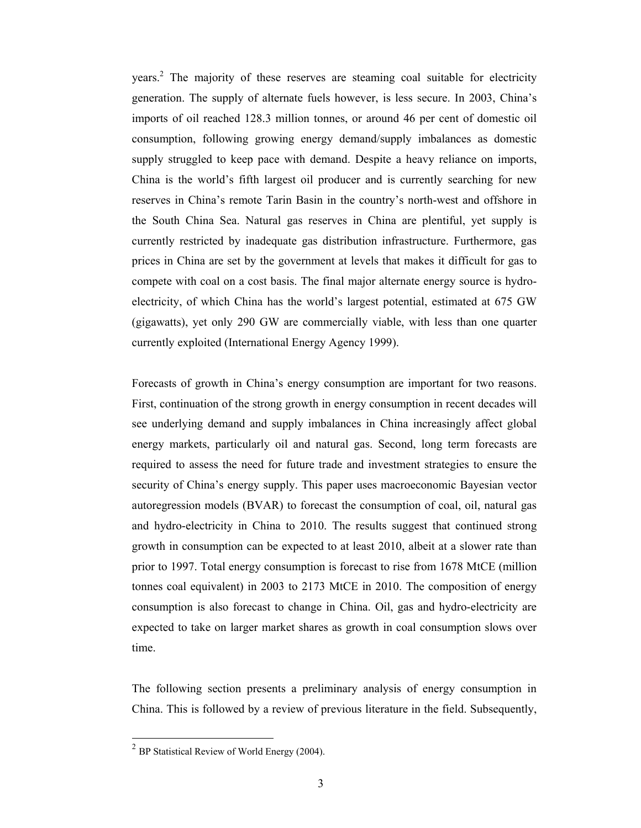years.2 The majority of these reserves are steaming coal suitable for electricity generation. The supply of alternate fuels however, is less secure. In 2003, China's imports of oil reached 128.3 million tonnes, or around 46 per cent of domestic oil consumption, following growing energy demand/supply imbalances as domestic supply struggled to keep pace with demand. Despite a heavy reliance on imports, China is the world's fifth largest oil producer and is currently searching for new reserves in China's remote Tarin Basin in the country's north-west and offshore in the South China Sea. Natural gas reserves in China are plentiful, yet supply is currently restricted by inadequate gas distribution infrastructure. Furthermore, gas prices in China are set by the government at levels that makes it difficult for gas to compete with coal on a cost basis. The final major alternate energy source is hydroelectricity, of which China has the world's largest potential, estimated at 675 GW (gigawatts), yet only 290 GW are commercially viable, with less than one quarter currently exploited (International Energy Agency 1999).

Forecasts of growth in China's energy consumption are important for two reasons. First, continuation of the strong growth in energy consumption in recent decades will see underlying demand and supply imbalances in China increasingly affect global energy markets, particularly oil and natural gas. Second, long term forecasts are required to assess the need for future trade and investment strategies to ensure the security of China's energy supply. This paper uses macroeconomic Bayesian vector autoregression models (BVAR) to forecast the consumption of coal, oil, natural gas and hydro-electricity in China to 2010. The results suggest that continued strong growth in consumption can be expected to at least 2010, albeit at a slower rate than prior to 1997. Total energy consumption is forecast to rise from 1678 MtCE (million tonnes coal equivalent) in 2003 to 2173 MtCE in 2010. The composition of energy consumption is also forecast to change in China. Oil, gas and hydro-electricity are expected to take on larger market shares as growth in coal consumption slows over time.

The following section presents a preliminary analysis of energy consumption in China. This is followed by a review of previous literature in the field. Subsequently,

 $^{2}$  BP Statistical Review of World Energy (2004).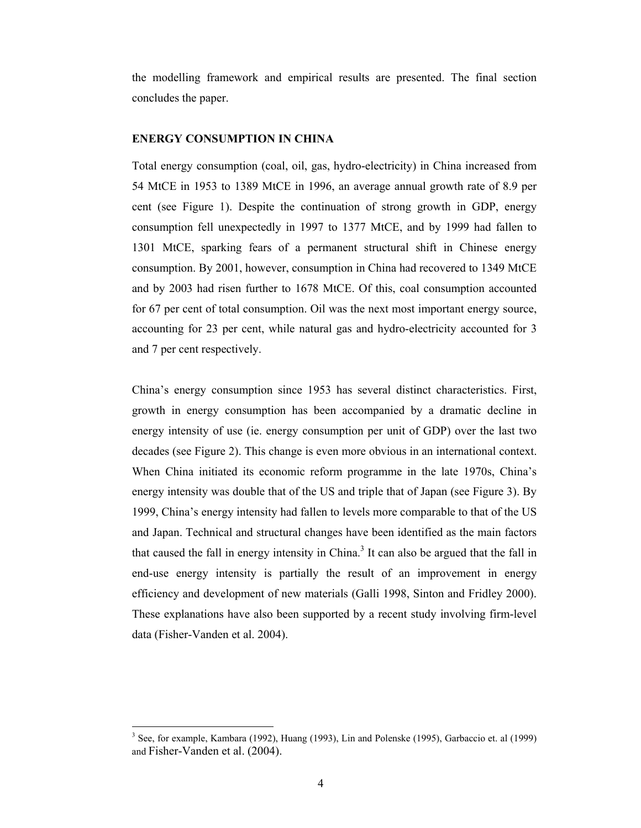the modelling framework and empirical results are presented. The final section concludes the paper.

## **ENERGY CONSUMPTION IN CHINA**

Total energy consumption (coal, oil, gas, hydro-electricity) in China increased from 54 MtCE in 1953 to 1389 MtCE in 1996, an average annual growth rate of 8.9 per cent (see Figure 1). Despite the continuation of strong growth in GDP, energy consumption fell unexpectedly in 1997 to 1377 MtCE, and by 1999 had fallen to 1301 MtCE, sparking fears of a permanent structural shift in Chinese energy consumption. By 2001, however, consumption in China had recovered to 1349 MtCE and by 2003 had risen further to 1678 MtCE. Of this, coal consumption accounted for 67 per cent of total consumption. Oil was the next most important energy source, accounting for 23 per cent, while natural gas and hydro-electricity accounted for 3 and 7 per cent respectively.

China's energy consumption since 1953 has several distinct characteristics. First, growth in energy consumption has been accompanied by a dramatic decline in energy intensity of use (ie. energy consumption per unit of GDP) over the last two decades (see Figure 2). This change is even more obvious in an international context. When China initiated its economic reform programme in the late 1970s, China's energy intensity was double that of the US and triple that of Japan (see Figure 3). By 1999, China's energy intensity had fallen to levels more comparable to that of the US and Japan. Technical and structural changes have been identified as the main factors that caused the fall in energy intensity in China.<sup>3</sup> It can also be argued that the fall in end-use energy intensity is partially the result of an improvement in energy efficiency and development of new materials (Galli 1998, Sinton and Fridley 2000). These explanations have also been supported by a recent study involving firm-level data (Fisher-Vanden et al. 2004).

<sup>&</sup>lt;sup>3</sup> See, for example, Kambara (1992), Huang (1993), Lin and Polenske (1995), Garbaccio et. al (1999) and Fisher-Vanden et al. (2004).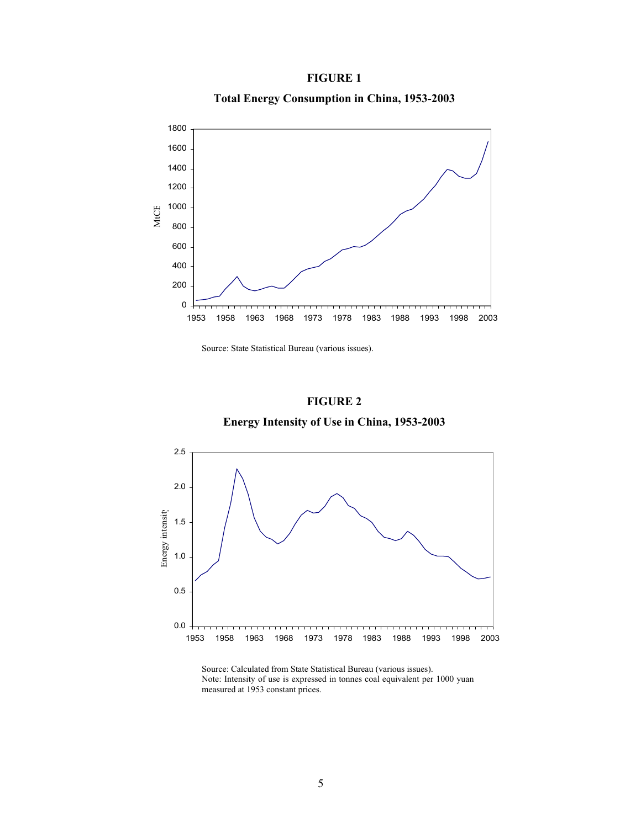# **FIGURE 1**

**Total Energy Consumption in China, 1953-2003** 



Source: State Statistical Bureau (various issues).

# **FIGURE 2**

**Energy Intensity of Use in China, 1953-2003** 



Source: Calculated from State Statistical Bureau (various issues). Note: Intensity of use is expressed in tonnes coal equivalent per 1000 yuan measured at 1953 constant prices.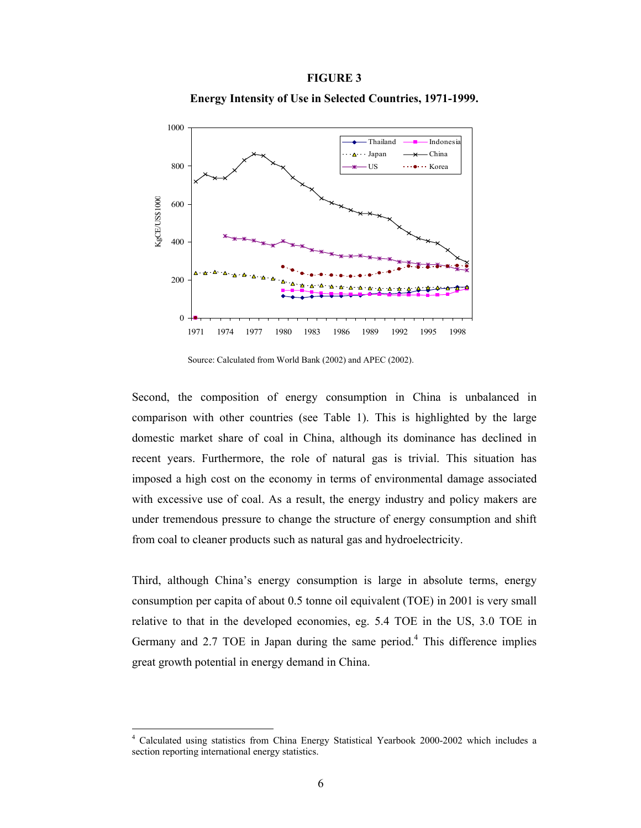#### **FIGURE 3**

**Energy Intensity of Use in Selected Countries, 1971-1999.** 



Source: Calculated from World Bank (2002) and APEC (2002).

Second, the composition of energy consumption in China is unbalanced in comparison with other countries (see Table 1). This is highlighted by the large domestic market share of coal in China, although its dominance has declined in recent years. Furthermore, the role of natural gas is trivial. This situation has imposed a high cost on the economy in terms of environmental damage associated with excessive use of coal. As a result, the energy industry and policy makers are under tremendous pressure to change the structure of energy consumption and shift from coal to cleaner products such as natural gas and hydroelectricity.

Third, although China's energy consumption is large in absolute terms, energy consumption per capita of about 0.5 tonne oil equivalent (TOE) in 2001 is very small relative to that in the developed economies, eg. 5.4 TOE in the US, 3.0 TOE in Germany and  $2.7$  TOE in Japan during the same period.<sup>4</sup> This difference implies great growth potential in energy demand in China.

<sup>4</sup> Calculated using statistics from China Energy Statistical Yearbook 2000-2002 which includes a section reporting international energy statistics.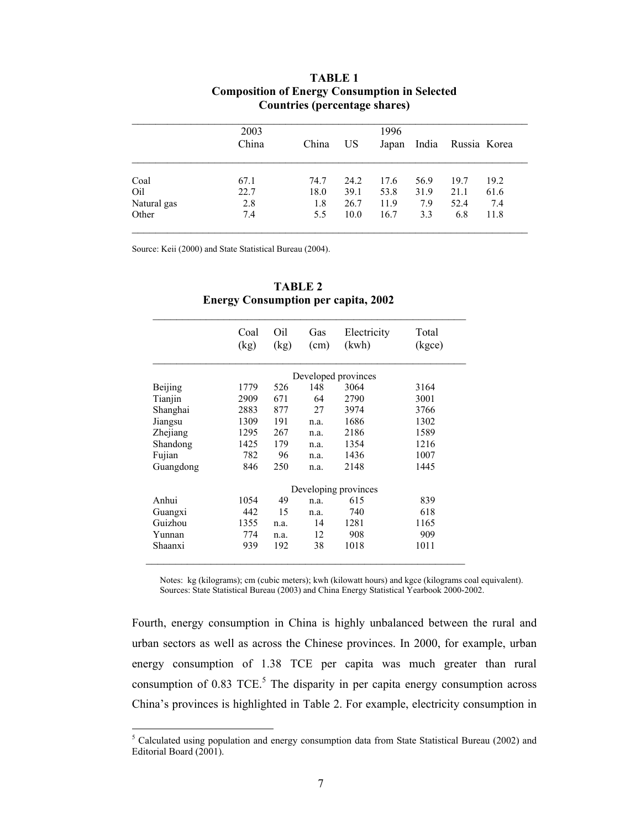|             | 2003  |       | 1996 |       |       |              |      |  |  |
|-------------|-------|-------|------|-------|-------|--------------|------|--|--|
|             | China | China | US   | Japan | India | Russia Korea |      |  |  |
| Coal        | 67.1  | 74.7  | 24.2 | 17.6  | 56.9  | 19.7         | 19.2 |  |  |
| Oil         | 22.7  | 18.0  | 39.1 | 53.8  | 31.9  | 21.1         | 61.6 |  |  |
| Natural gas | 2.8   | 1.8   | 26.7 | 11.9  | 7.9   | 52.4         | 7.4  |  |  |
| Other       | 7.4   | 5.5   | 10.0 | 16.7  | 3.3   | 6.8          | 11.8 |  |  |

# **TABLE 1 Composition of Energy Consumption in Selected Countries (percentage shares)**

Source: Keii (2000) and State Statistical Bureau (2004).

 $\overline{\phantom{a}}$ 

|           | Coal<br>(kg)        | Oil<br>(kg) | Gas<br>(cm) | Electricity<br>(kwh) | Total<br>(kgce) |  |  |  |
|-----------|---------------------|-------------|-------------|----------------------|-----------------|--|--|--|
|           | Developed provinces |             |             |                      |                 |  |  |  |
| Beijing   | 1779                | 526         | 148         | 3064                 | 3164            |  |  |  |
| Tianjin   | 2909                | 671         | 64          | 2790                 | 3001            |  |  |  |
| Shanghai  | 2883                | 877         | 27          | 3974                 | 3766            |  |  |  |
| Jiangsu   | 1309                | 191         | n.a.        | 1686                 | 1302            |  |  |  |
| Zhejiang  | 1295                | 267         | n.a.        | 2186                 | 1589            |  |  |  |
| Shandong  | 1425                | 179         | n.a.        | 1354                 | 1216            |  |  |  |
| Fujian    | 782                 | 96          | n.a.        | 1436                 | 1007            |  |  |  |
| Guangdong | 846                 | 250         | n.a.        | 2148                 | 1445            |  |  |  |
|           |                     |             |             | Developing provinces |                 |  |  |  |
| Anhui     | 1054                | 49          | n.a.        | 615                  | 839             |  |  |  |
| Guangxi   | 442                 | 15          | n.a.        | 740                  | 618             |  |  |  |
| Guizhou   | 1355                | n.a.        | 14          | 1281                 | 1165            |  |  |  |
| Yunnan    | 774                 | n.a.        | 12          | 908                  | 909             |  |  |  |
| Shaanxi   | 939                 | 192         | 38          | 1018                 | 1011            |  |  |  |

## **TABLE 2 Energy Consumption per capita, 2002**

Notes: kg (kilograms); cm (cubic meters); kwh (kilowatt hours) and kgce (kilograms coal equivalent). Sources: State Statistical Bureau (2003) and China Energy Statistical Yearbook 2000-2002.

Fourth, energy consumption in China is highly unbalanced between the rural and urban sectors as well as across the Chinese provinces. In 2000, for example, urban energy consumption of 1.38 TCE per capita was much greater than rural consumption of  $0.83$  TCE.<sup>5</sup> The disparity in per capita energy consumption across China's provinces is highlighted in Table 2. For example, electricity consumption in

 $<sup>5</sup>$  Calculated using population and energy consumption data from State Statistical Bureau (2002) and</sup> Editorial Board (2001).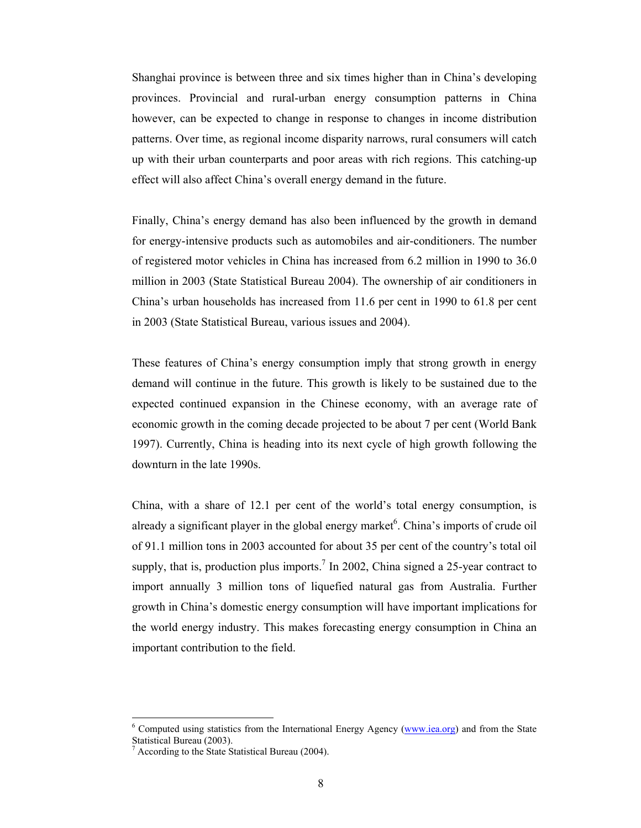Shanghai province is between three and six times higher than in China's developing provinces. Provincial and rural-urban energy consumption patterns in China however, can be expected to change in response to changes in income distribution patterns. Over time, as regional income disparity narrows, rural consumers will catch up with their urban counterparts and poor areas with rich regions. This catching-up effect will also affect China's overall energy demand in the future.

Finally, China's energy demand has also been influenced by the growth in demand for energy-intensive products such as automobiles and air-conditioners. The number of registered motor vehicles in China has increased from 6.2 million in 1990 to 36.0 million in 2003 (State Statistical Bureau 2004). The ownership of air conditioners in China's urban households has increased from 11.6 per cent in 1990 to 61.8 per cent in 2003 (State Statistical Bureau, various issues and 2004).

These features of China's energy consumption imply that strong growth in energy demand will continue in the future. This growth is likely to be sustained due to the expected continued expansion in the Chinese economy, with an average rate of economic growth in the coming decade projected to be about 7 per cent (World Bank 1997). Currently, China is heading into its next cycle of high growth following the downturn in the late 1990s.

China, with a share of 12.1 per cent of the world's total energy consumption, is already a significant player in the global energy market $6$ . China's imports of crude oil of 91.1 million tons in 2003 accounted for about 35 per cent of the country's total oil supply, that is, production plus imports.<sup>7</sup> In 2002, China signed a 25-year contract to import annually 3 million tons of liquefied natural gas from Australia. Further growth in China's domestic energy consumption will have important implications for the world energy industry. This makes forecasting energy consumption in China an important contribution to the field.

 $\overline{a}$ 

<sup>&</sup>lt;sup>6</sup> Computed using statistics from the International Energy Agency (www.iea.org) and from the State Statistical Bureau (2003).

<sup>7</sup> According to the State Statistical Bureau (2004).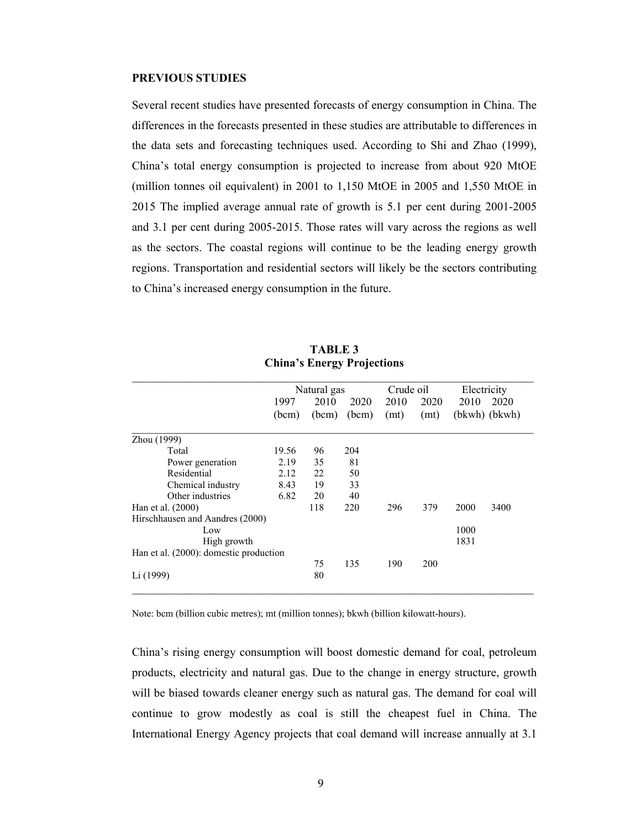#### **PREVIOUS STUDIES**

Several recent studies have presented forecasts of energy consumption in China. The differences in the forecasts presented in these studies are attributable to differences in the data sets and forecasting techniques used. According to Shi and Zhao (1999), China's total energy consumption is projected to increase from about 920 MtOE (million tonnes oil equivalent) in 2001 to 1,150 MtOE in 2005 and 1,550 MtOE in 2015 The implied average annual rate of growth is 5.1 per cent during 2001-2005 and 3.1 per cent during 2005-2015. Those rates will vary across the regions as well as the sectors. The coastal regions will continue to be the leading energy growth regions. Transportation and residential sectors will likely be the sectors contributing to China's increased energy consumption in the future.

|                                        | Natural gas |       |       | Crude oil |      | Electricity   |      |
|----------------------------------------|-------------|-------|-------|-----------|------|---------------|------|
|                                        | 1997        | 2010  | 2020  | 2010      | 2020 | 2010          | 2020 |
|                                        | (bcm)       | (bcm) | (bcm) | (mt)      | (mt) | (bkwh) (bkwh) |      |
| Zhou (1999)                            |             |       |       |           |      |               |      |
| Total                                  | 19.56       | 96    | 204   |           |      |               |      |
| Power generation                       | 2.19        | 35    | 81    |           |      |               |      |
| Residential                            | 2.12        | 22    | 50    |           |      |               |      |
| Chemical industry                      | 8.43        | 19    | 33    |           |      |               |      |
| Other industries                       | 6.82        | 20    | 40    |           |      |               |      |
| Han et al. (2000)                      |             | 118   | 220   | 296       | 379  | 2000          | 3400 |
| Hirschhausen and Aandres (2000)        |             |       |       |           |      |               |      |
| Low                                    |             |       |       |           |      | 1000          |      |
| High growth                            |             |       |       |           |      | 1831          |      |
| Han et al. (2000): domestic production |             |       |       |           |      |               |      |
|                                        |             | 75    | 135   | 190       | 200  |               |      |
| Li (1999)                              |             | 80    |       |           |      |               |      |

**TABLE 3 China's Energy Projections** 

Note: bcm (billion cubic metres); mt (million tonnes); bkwh (billion kilowatt-hours).

China's rising energy consumption will boost domestic demand for coal, petroleum products, electricity and natural gas. Due to the change in energy structure, growth will be biased towards cleaner energy such as natural gas. The demand for coal will continue to grow modestly as coal is still the cheapest fuel in China. The International Energy Agency projects that coal demand will increase annually at 3.1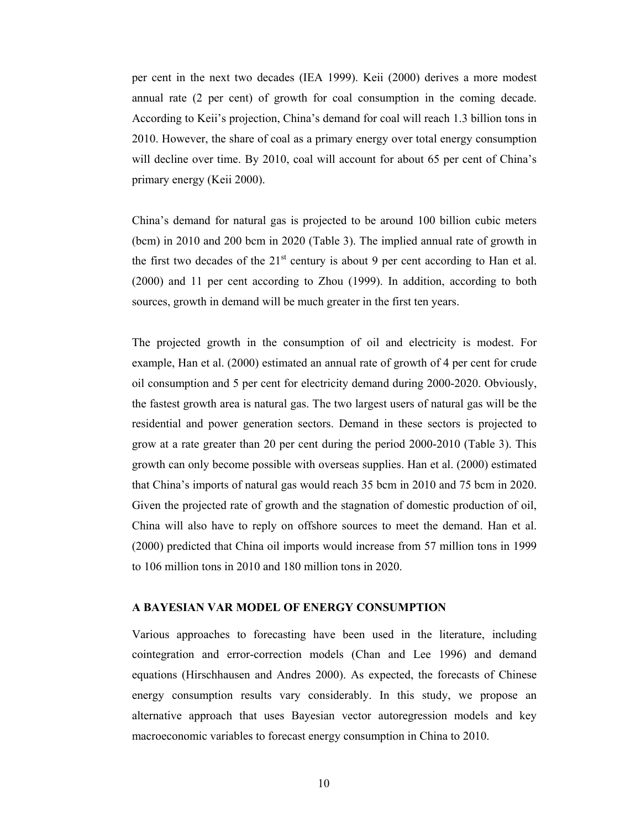per cent in the next two decades (IEA 1999). Keii (2000) derives a more modest annual rate (2 per cent) of growth for coal consumption in the coming decade. According to Keii's projection, China's demand for coal will reach 1.3 billion tons in 2010. However, the share of coal as a primary energy over total energy consumption will decline over time. By 2010, coal will account for about 65 per cent of China's primary energy (Keii 2000).

China's demand for natural gas is projected to be around 100 billion cubic meters (bcm) in 2010 and 200 bcm in 2020 (Table 3). The implied annual rate of growth in the first two decades of the  $21<sup>st</sup>$  century is about 9 per cent according to Han et al. (2000) and 11 per cent according to Zhou (1999). In addition, according to both sources, growth in demand will be much greater in the first ten years.

The projected growth in the consumption of oil and electricity is modest. For example, Han et al. (2000) estimated an annual rate of growth of 4 per cent for crude oil consumption and 5 per cent for electricity demand during 2000-2020. Obviously, the fastest growth area is natural gas. The two largest users of natural gas will be the residential and power generation sectors. Demand in these sectors is projected to grow at a rate greater than 20 per cent during the period 2000-2010 (Table 3). This growth can only become possible with overseas supplies. Han et al. (2000) estimated that China's imports of natural gas would reach 35 bcm in 2010 and 75 bcm in 2020. Given the projected rate of growth and the stagnation of domestic production of oil, China will also have to reply on offshore sources to meet the demand. Han et al. (2000) predicted that China oil imports would increase from 57 million tons in 1999 to 106 million tons in 2010 and 180 million tons in 2020.

### **A BAYESIAN VAR MODEL OF ENERGY CONSUMPTION**

Various approaches to forecasting have been used in the literature, including cointegration and error-correction models (Chan and Lee 1996) and demand equations (Hirschhausen and Andres 2000). As expected, the forecasts of Chinese energy consumption results vary considerably. In this study, we propose an alternative approach that uses Bayesian vector autoregression models and key macroeconomic variables to forecast energy consumption in China to 2010.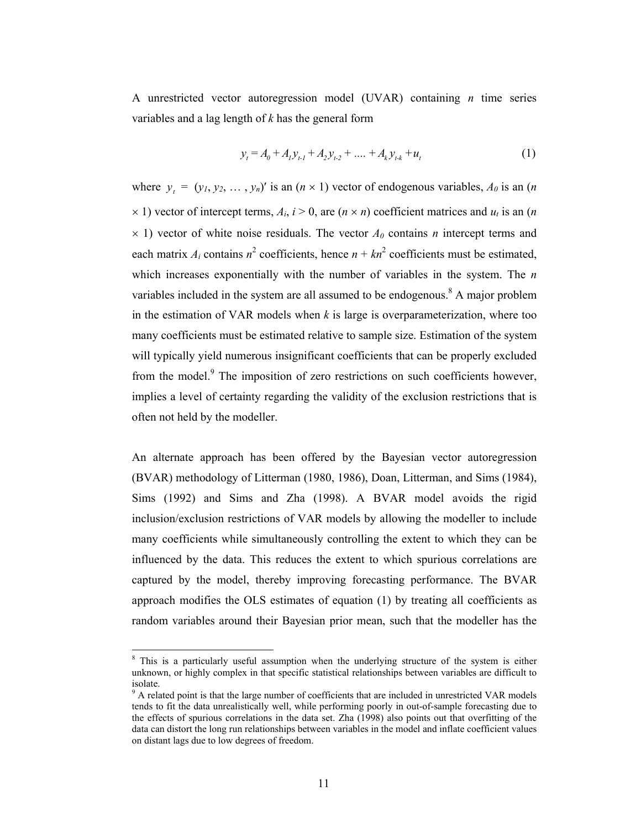A unrestricted vector autoregression model (UVAR) containing *n* time series variables and a lag length of *k* has the general form

$$
y_t = A_0 + A_1 y_{t-1} + A_2 y_{t-2} + \dots + A_k y_{t-k} + u_t
$$
 (1)

where  $y_t = (y_1, y_2, \dots, y_n)'$  is an  $(n \times 1)$  vector of endogenous variables,  $A_0$  is an  $(n \times 1)$  $\times$  1) vector of intercept terms,  $A_i$ ,  $i > 0$ , are  $(n \times n)$  coefficient matrices and  $u_t$  is an  $(n \times n)$  $\times$  1) vector of white noise residuals. The vector  $A_0$  contains *n* intercept terms and each matrix  $A_i$  contains  $n^2$  coefficients, hence  $n + kn^2$  coefficients must be estimated, which increases exponentially with the number of variables in the system. The *n* variables included in the system are all assumed to be endogenous.<sup>8</sup> A major problem in the estimation of VAR models when  $k$  is large is overparameterization, where too many coefficients must be estimated relative to sample size. Estimation of the system will typically yield numerous insignificant coefficients that can be properly excluded from the model.<sup>9</sup> The imposition of zero restrictions on such coefficients however, implies a level of certainty regarding the validity of the exclusion restrictions that is often not held by the modeller.

An alternate approach has been offered by the Bayesian vector autoregression (BVAR) methodology of Litterman (1980, 1986), Doan, Litterman, and Sims (1984), Sims (1992) and Sims and Zha (1998). A BVAR model avoids the rigid inclusion/exclusion restrictions of VAR models by allowing the modeller to include many coefficients while simultaneously controlling the extent to which they can be influenced by the data. This reduces the extent to which spurious correlations are captured by the model, thereby improving forecasting performance. The BVAR approach modifies the OLS estimates of equation (1) by treating all coefficients as random variables around their Bayesian prior mean, such that the modeller has the

l

<sup>&</sup>lt;sup>8</sup> This is a particularly useful assumption when the underlying structure of the system is either unknown, or highly complex in that specific statistical relationships between variables are difficult to isolate.

 $9<sup>9</sup>$  A related point is that the large number of coefficients that are included in unrestricted VAR models tends to fit the data unrealistically well, while performing poorly in out-of-sample forecasting due to the effects of spurious correlations in the data set. Zha (1998) also points out that overfitting of the data can distort the long run relationships between variables in the model and inflate coefficient values on distant lags due to low degrees of freedom.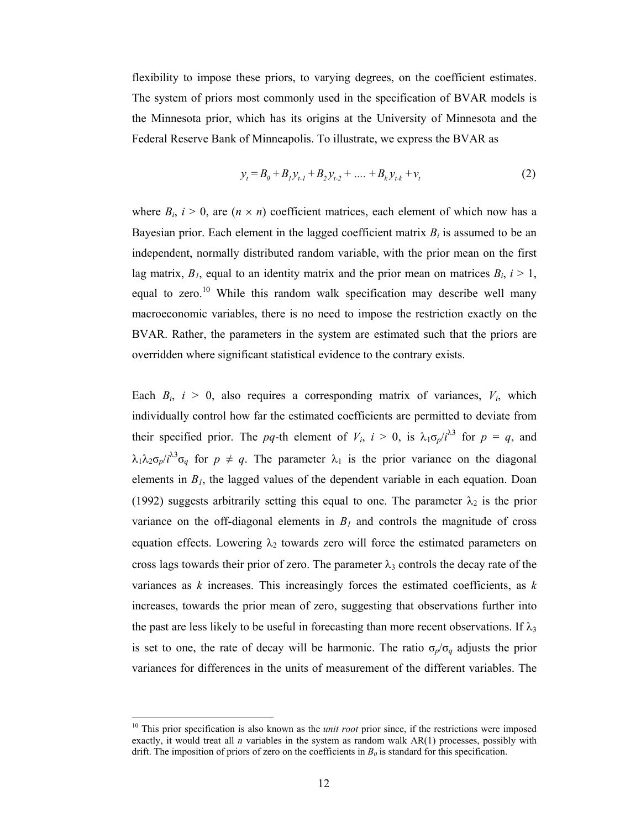flexibility to impose these priors, to varying degrees, on the coefficient estimates. The system of priors most commonly used in the specification of BVAR models is the Minnesota prior, which has its origins at the University of Minnesota and the Federal Reserve Bank of Minneapolis. To illustrate, we express the BVAR as

$$
y_t = B_0 + B_1 y_{t-1} + B_2 y_{t-2} + \dots + B_k y_{t-k} + v_t
$$
 (2)

where  $B_i$ ,  $i > 0$ , are  $(n \times n)$  coefficient matrices, each element of which now has a Bayesian prior. Each element in the lagged coefficient matrix  $B_i$  is assumed to be an independent, normally distributed random variable, with the prior mean on the first lag matrix,  $B_l$ , equal to an identity matrix and the prior mean on matrices  $B_i$ ,  $i > 1$ , equal to zero.<sup>10</sup> While this random walk specification may describe well many macroeconomic variables, there is no need to impose the restriction exactly on the BVAR. Rather, the parameters in the system are estimated such that the priors are overridden where significant statistical evidence to the contrary exists.

Each  $B_i$ ,  $i > 0$ , also requires a corresponding matrix of variances,  $V_i$ , which individually control how far the estimated coefficients are permitted to deviate from their specified prior. The *pq*-th element of  $V_i$ ,  $i > 0$ , is  $\lambda_1 \sigma_p / i^{\lambda 3}$  for  $p = q$ , and  $\lambda_1 \lambda_2 \sigma_p / i^{\lambda 3} \sigma_q$  for  $p \neq q$ . The parameter  $\lambda_1$  is the prior variance on the diagonal elements in  $B<sub>1</sub>$ , the lagged values of the dependent variable in each equation. Doan (1992) suggests arbitrarily setting this equal to one. The parameter  $\lambda_2$  is the prior variance on the off-diagonal elements in  $B<sub>I</sub>$  and controls the magnitude of cross equation effects. Lowering  $\lambda_2$  towards zero will force the estimated parameters on cross lags towards their prior of zero. The parameter  $\lambda_3$  controls the decay rate of the variances as *k* increases. This increasingly forces the estimated coefficients, as *k* increases, towards the prior mean of zero, suggesting that observations further into the past are less likely to be useful in forecasting than more recent observations. If  $\lambda_3$ is set to one, the rate of decay will be harmonic. The ratio  $\sigma_p/\sigma_q$  adjusts the prior variances for differences in the units of measurement of the different variables. The

 $\overline{a}$ 

<sup>&</sup>lt;sup>10</sup> This prior specification is also known as the *unit root* prior since, if the restrictions were imposed exactly, it would treat all *n* variables in the system as random walk AR(1) processes, possibly with drift. The imposition of priors of zero on the coefficients in  $B_0$  is standard for this specification.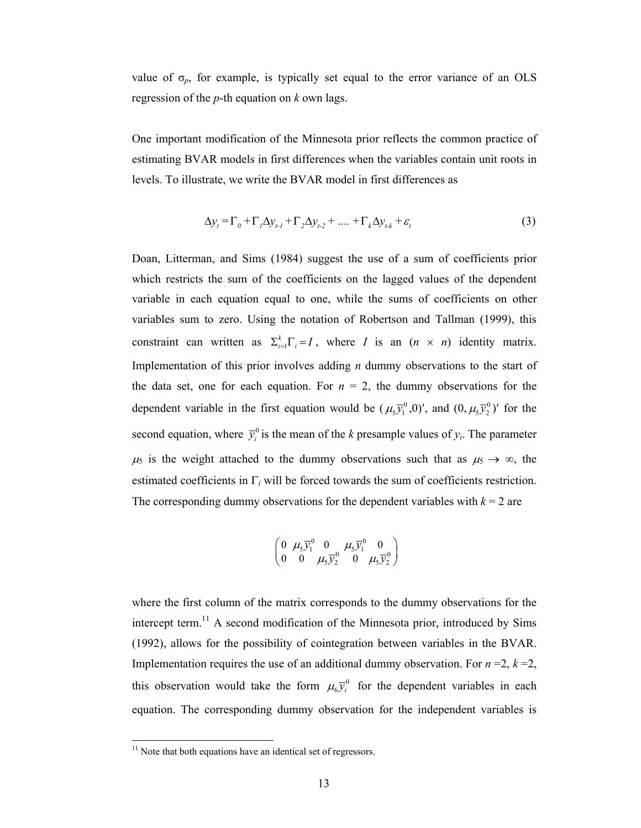value of σ*p*, for example, is typically set equal to the error variance of an OLS regression of the *p*-th equation on *k* own lags.

One important modification of the Minnesota prior reflects the common practice of estimating BVAR models in first differences when the variables contain unit roots in levels. To illustrate, we write the BVAR model in first differences as

$$
\Delta y_t = \Gamma_0 + \Gamma_1 \Delta y_{t-1} + \Gamma_2 \Delta y_{t-2} + \dots + \Gamma_k \Delta y_{t-k} + \varepsilon_t
$$
\n(3)

Doan, Litterman, and Sims (1984) suggest the use of a sum of coefficients prior which restricts the sum of the coefficients on the lagged values of the dependent variable in each equation equal to one, while the sums of coefficients on other variables sum to zero. Using the notation of Robertson and Tallman (1999), this constraint can written as  $\Sigma_{i=1}^k \Gamma_i = I$ , where *I* is an  $(n \times n)$  identity matrix. Implementation of this prior involves adding *n* dummy observations to the start of the data set, one for each equation. For  $n = 2$ , the dummy observations for the dependent variable in the first equation would be  $(\mu_5 \bar{y}_1^0, 0)'$ , and  $(0, \mu_5 \bar{y}_2^0)'$  for the second equation, where  $\bar{y}_i^0$  is the mean of the *k* presample values of  $y_i$ . The parameter  $\mu_5$  is the weight attached to the dummy observations such that as  $\mu_5 \to \infty$ , the estimated coefficients in Γ*i* will be forced towards the sum of coefficients restriction. The corresponding dummy observations for the dependent variables with  $k = 2$  are

$$
\left(\begin{matrix} 0 & \mu_5\overline{y}_1^0 & 0 & \mu_5\overline{y}_1^0 & 0 \\ 0 & 0 & \mu_5\overline{y}_2^0 & 0 & \mu_5\overline{y}_2^0 \end{matrix}\right)
$$

where the first column of the matrix corresponds to the dummy observations for the intercept term.<sup>11</sup> A second modification of the Minnesota prior, introduced by Sims (1992), allows for the possibility of cointegration between variables in the BVAR. Implementation requires the use of an additional dummy observation. For  $n = 2$ ,  $k = 2$ , this observation would take the form  $\mu_6 \bar{y}_i^0$  for the dependent variables in each equation. The corresponding dummy observation for the independent variables is

l

 $11$  Note that both equations have an identical set of regressors.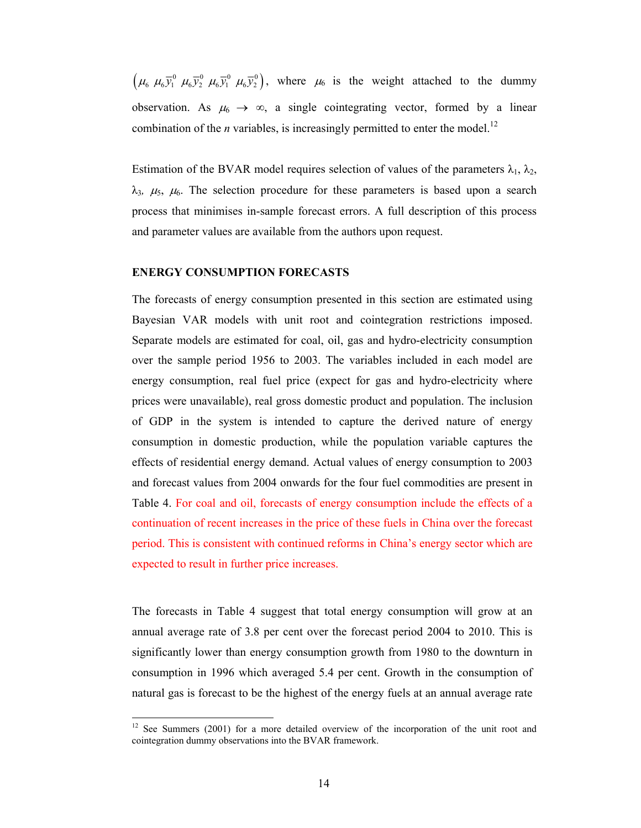$(\mu_6 \mu_6 \bar{y}_1^0 \mu_6 \bar{y}_2^0 \mu_6 \bar{y}_1^0 \mu_6 \bar{y}_2^0)$ , where  $\mu_6$  is the weight attached to the dummy observation. As  $\mu_6 \to \infty$ , a single cointegrating vector, formed by a linear combination of the *n* variables, is increasingly permitted to enter the model.<sup>12</sup>

Estimation of the BVAR model requires selection of values of the parameters  $\lambda_1$ ,  $\lambda_2$ ,  $\lambda_3$ ,  $\mu_5$ ,  $\mu_6$ . The selection procedure for these parameters is based upon a search process that minimises in-sample forecast errors. A full description of this process and parameter values are available from the authors upon request.

# **ENERGY CONSUMPTION FORECASTS**

The forecasts of energy consumption presented in this section are estimated using Bayesian VAR models with unit root and cointegration restrictions imposed. Separate models are estimated for coal, oil, gas and hydro-electricity consumption over the sample period 1956 to 2003. The variables included in each model are energy consumption, real fuel price (expect for gas and hydro-electricity where prices were unavailable), real gross domestic product and population. The inclusion of GDP in the system is intended to capture the derived nature of energy consumption in domestic production, while the population variable captures the effects of residential energy demand. Actual values of energy consumption to 2003 and forecast values from 2004 onwards for the four fuel commodities are present in Table 4. For coal and oil, forecasts of energy consumption include the effects of a continuation of recent increases in the price of these fuels in China over the forecast period. This is consistent with continued reforms in China's energy sector which are expected to result in further price increases.

The forecasts in Table 4 suggest that total energy consumption will grow at an annual average rate of 3.8 per cent over the forecast period 2004 to 2010. This is significantly lower than energy consumption growth from 1980 to the downturn in consumption in 1996 which averaged 5.4 per cent. Growth in the consumption of natural gas is forecast to be the highest of the energy fuels at an annual average rate

 $12$  See Summers (2001) for a more detailed overview of the incorporation of the unit root and cointegration dummy observations into the BVAR framework.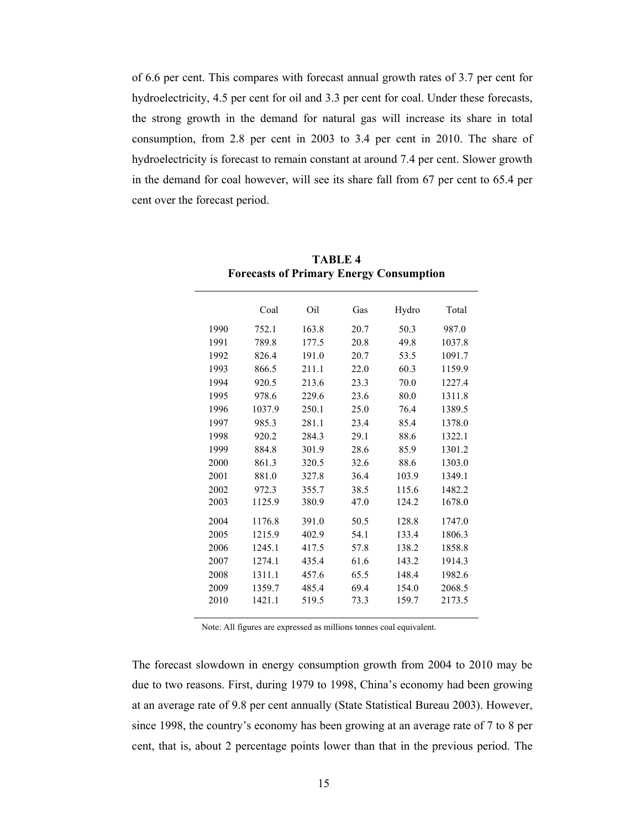of 6.6 per cent. This compares with forecast annual growth rates of 3.7 per cent for hydroelectricity, 4.5 per cent for oil and 3.3 per cent for coal. Under these forecasts, the strong growth in the demand for natural gas will increase its share in total consumption, from 2.8 per cent in 2003 to 3.4 per cent in 2010. The share of hydroelectricity is forecast to remain constant at around 7.4 per cent. Slower growth in the demand for coal however, will see its share fall from 67 per cent to 65.4 per cent over the forecast period.

|      | Coal   | Oil   | Gas  | Hydro | Total  |
|------|--------|-------|------|-------|--------|
| 1990 | 752.1  | 163.8 | 20.7 | 50.3  | 987.0  |
| 1991 | 789.8  | 177.5 | 20.8 | 49.8  | 1037.8 |
| 1992 | 826.4  | 191.0 | 20.7 | 53.5  | 1091.7 |
| 1993 | 866.5  | 211.1 | 22.0 | 60.3  | 1159.9 |
| 1994 | 920.5  | 213.6 | 23.3 | 70.0  | 1227.4 |
| 1995 | 978.6  | 229.6 | 23.6 | 80.0  | 1311.8 |
| 1996 | 1037.9 | 250.1 | 25.0 | 76.4  | 1389.5 |
| 1997 | 985.3  | 281.1 | 23.4 | 85.4  | 1378.0 |
| 1998 | 920.2  | 284.3 | 29.1 | 88.6  | 1322.1 |
| 1999 | 884.8  | 301.9 | 28.6 | 85.9  | 1301.2 |
| 2000 | 861.3  | 320.5 | 32.6 | 88.6  | 1303.0 |
| 2001 | 881.0  | 327.8 | 36.4 | 103.9 | 1349.1 |
| 2002 | 972.3  | 355.7 | 38.5 | 115.6 | 1482.2 |
| 2003 | 1125.9 | 380.9 | 47.0 | 124.2 | 1678.0 |
| 2004 | 1176.8 | 391.0 | 50.5 | 128.8 | 1747.0 |
| 2005 | 1215.9 | 402.9 | 54.1 | 133.4 | 1806.3 |
| 2006 | 1245.1 | 417.5 | 57.8 | 138.2 | 1858.8 |
| 2007 | 1274.1 | 435.4 | 61.6 | 143.2 | 1914.3 |
| 2008 | 1311.1 | 457.6 | 65.5 | 148.4 | 1982.6 |
| 2009 | 1359.7 | 485.4 | 69.4 | 154.0 | 2068.5 |
| 2010 | 1421.1 | 519.5 | 73.3 | 159.7 | 2173.5 |
|      |        |       |      |       |        |

**TABLE 4 Forecasts of Primary Energy Consumption** 

Note: All figures are expressed as millions tonnes coal equivalent.

The forecast slowdown in energy consumption growth from 2004 to 2010 may be due to two reasons. First, during 1979 to 1998, China's economy had been growing at an average rate of 9.8 per cent annually (State Statistical Bureau 2003). However, since 1998, the country's economy has been growing at an average rate of 7 to 8 per cent, that is, about 2 percentage points lower than that in the previous period. The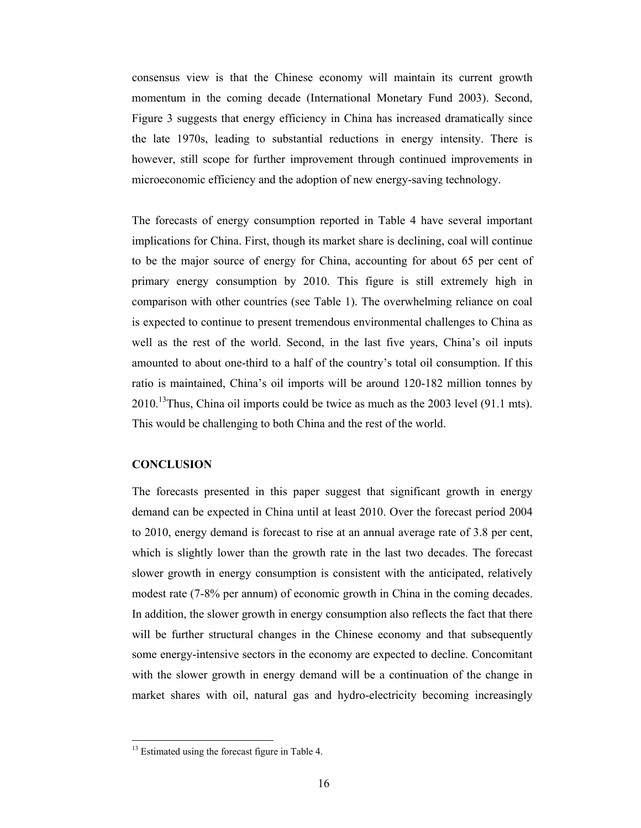consensus view is that the Chinese economy will maintain its current growth momentum in the coming decade (International Monetary Fund 2003). Second, Figure 3 suggests that energy efficiency in China has increased dramatically since the late 1970s, leading to substantial reductions in energy intensity. There is however, still scope for further improvement through continued improvements in microeconomic efficiency and the adoption of new energy-saving technology.

The forecasts of energy consumption reported in Table 4 have several important implications for China. First, though its market share is declining, coal will continue to be the major source of energy for China, accounting for about 65 per cent of primary energy consumption by 2010. This figure is still extremely high in comparison with other countries (see Table 1). The overwhelming reliance on coal is expected to continue to present tremendous environmental challenges to China as well as the rest of the world. Second, in the last five years, China's oil inputs amounted to about one-third to a half of the country's total oil consumption. If this ratio is maintained, China's oil imports will be around 120-182 million tonnes by  $2010$ .<sup>13</sup>Thus, China oil imports could be twice as much as the 2003 level (91.1 mts). This would be challenging to both China and the rest of the world.

# **CONCLUSION**

l

The forecasts presented in this paper suggest that significant growth in energy demand can be expected in China until at least 2010. Over the forecast period 2004 to 2010, energy demand is forecast to rise at an annual average rate of 3.8 per cent, which is slightly lower than the growth rate in the last two decades. The forecast slower growth in energy consumption is consistent with the anticipated, relatively modest rate (7-8% per annum) of economic growth in China in the coming decades. In addition, the slower growth in energy consumption also reflects the fact that there will be further structural changes in the Chinese economy and that subsequently some energy-intensive sectors in the economy are expected to decline. Concomitant with the slower growth in energy demand will be a continuation of the change in market shares with oil, natural gas and hydro-electricity becoming increasingly

 $13$  Estimated using the forecast figure in Table 4.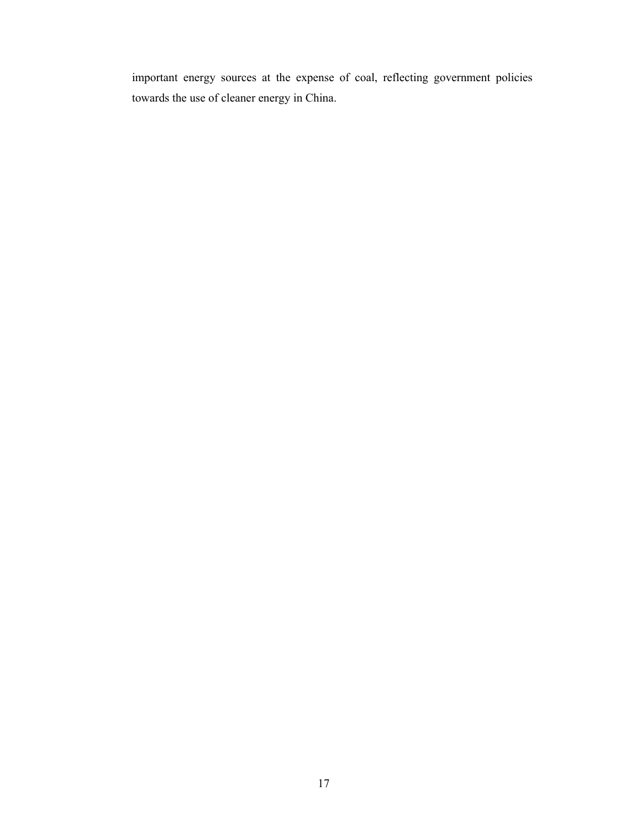important energy sources at the expense of coal, reflecting government policies towards the use of cleaner energy in China.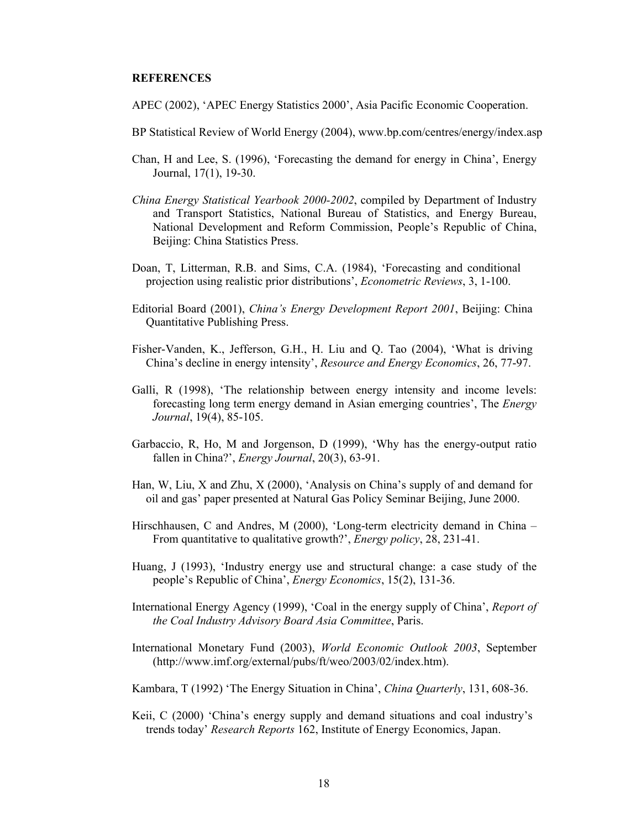## **REFERENCES**

- APEC (2002), 'APEC Energy Statistics 2000', Asia Pacific Economic Cooperation.
- BP Statistical Review of World Energy (2004), www.bp.com/centres/energy/index.asp
- Chan, H and Lee, S. (1996), 'Forecasting the demand for energy in China', Energy Journal, 17(1), 19-30.
- *China Energy Statistical Yearbook 2000-2002*, compiled by Department of Industry and Transport Statistics, National Bureau of Statistics, and Energy Bureau, National Development and Reform Commission, People's Republic of China, Beijing: China Statistics Press.
- Doan, T, Litterman, R.B. and Sims, C.A. (1984), 'Forecasting and conditional projection using realistic prior distributions', *Econometric Reviews*, 3, 1-100.
- Editorial Board (2001), *China's Energy Development Report 2001*, Beijing: China Quantitative Publishing Press.
- Fisher-Vanden, K., Jefferson, G.H., H. Liu and Q. Tao (2004), 'What is driving China's decline in energy intensity', *Resource and Energy Economics*, 26, 77-97.
- Galli, R (1998), 'The relationship between energy intensity and income levels: forecasting long term energy demand in Asian emerging countries', The *Energy Journal*, 19(4), 85-105.
- Garbaccio, R, Ho, M and Jorgenson, D (1999), 'Why has the energy-output ratio fallen in China?', *Energy Journal*, 20(3), 63-91.
- Han, W, Liu, X and Zhu, X (2000), 'Analysis on China's supply of and demand for oil and gas' paper presented at Natural Gas Policy Seminar Beijing, June 2000.
- Hirschhausen, C and Andres, M (2000), 'Long-term electricity demand in China From quantitative to qualitative growth?', *Energy policy*, 28, 231-41.
- Huang, J (1993), 'Industry energy use and structural change: a case study of the people's Republic of China', *Energy Economics*, 15(2), 131-36.
- International Energy Agency (1999), 'Coal in the energy supply of China', *Report of the Coal Industry Advisory Board Asia Committee*, Paris.
- International Monetary Fund (2003), *World Economic Outlook 2003*, September (http://www.imf.org/external/pubs/ft/weo/2003/02/index.htm).
- Kambara, T (1992) 'The Energy Situation in China', *China Quarterly*, 131, 608-36.
- Keii, C (2000) 'China's energy supply and demand situations and coal industry's trends today' *Research Reports* 162, Institute of Energy Economics, Japan.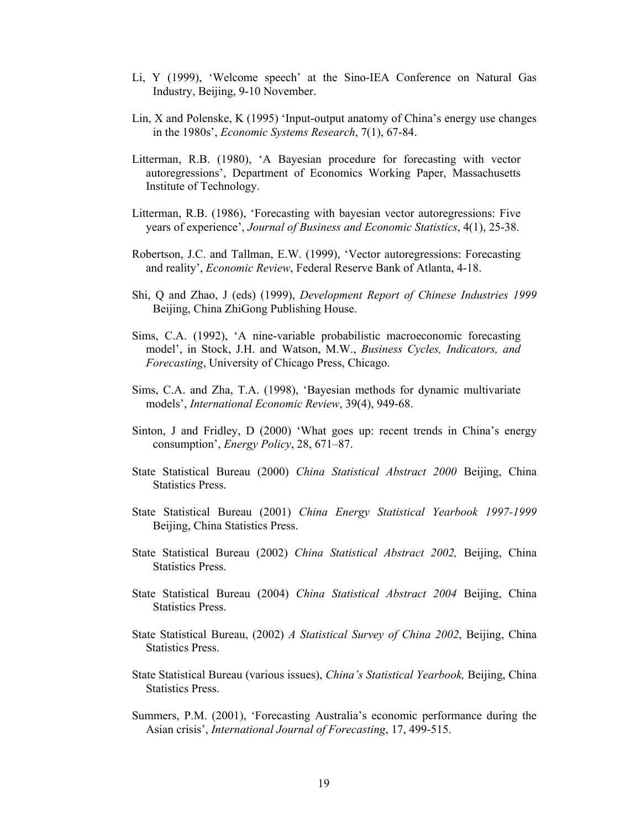- Li, Y (1999), 'Welcome speech' at the Sino-IEA Conference on Natural Gas Industry, Beijing, 9-10 November.
- Lin, X and Polenske, K (1995) 'Input-output anatomy of China's energy use changes in the 1980s', *Economic Systems Research*, 7(1), 67-84.
- Litterman, R.B. (1980), 'A Bayesian procedure for forecasting with vector autoregressions', Department of Economics Working Paper, Massachusetts Institute of Technology.
- Litterman, R.B. (1986), 'Forecasting with bayesian vector autoregressions: Five years of experience', *Journal of Business and Economic Statistics*, 4(1), 25-38.
- Robertson, J.C. and Tallman, E.W. (1999), 'Vector autoregressions: Forecasting and reality', *Economic Review*, Federal Reserve Bank of Atlanta, 4-18.
- Shi, Q and Zhao, J (eds) (1999), *Development Report of Chinese Industries 1999* Beijing, China ZhiGong Publishing House.
- Sims, C.A. (1992), 'A nine-variable probabilistic macroeconomic forecasting model', in Stock, J.H. and Watson, M.W., *Business Cycles, Indicators, and Forecasting*, University of Chicago Press, Chicago.
- Sims, C.A. and Zha, T.A. (1998), 'Bayesian methods for dynamic multivariate models', *International Economic Review*, 39(4), 949-68.
- Sinton, J and Fridley, D (2000) 'What goes up: recent trends in China's energy consumption', *Energy Policy*, 28, 671–87.
- State Statistical Bureau (2000) *China Statistical Abstract 2000* Beijing, China Statistics Press.
- State Statistical Bureau (2001) *China Energy Statistical Yearbook 1997-1999* Beijing, China Statistics Press.
- State Statistical Bureau (2002) *China Statistical Abstract 2002,* Beijing, China Statistics Press.
- State Statistical Bureau (2004) *China Statistical Abstract 2004* Beijing, China Statistics Press.
- State Statistical Bureau, (2002) *A Statistical Survey of China 2002*, Beijing, China Statistics Press.
- State Statistical Bureau (various issues), *China's Statistical Yearbook,* Beijing, China Statistics Press.
- Summers, P.M. (2001), 'Forecasting Australia's economic performance during the Asian crisis', *International Journal of Forecasting*, 17, 499-515.